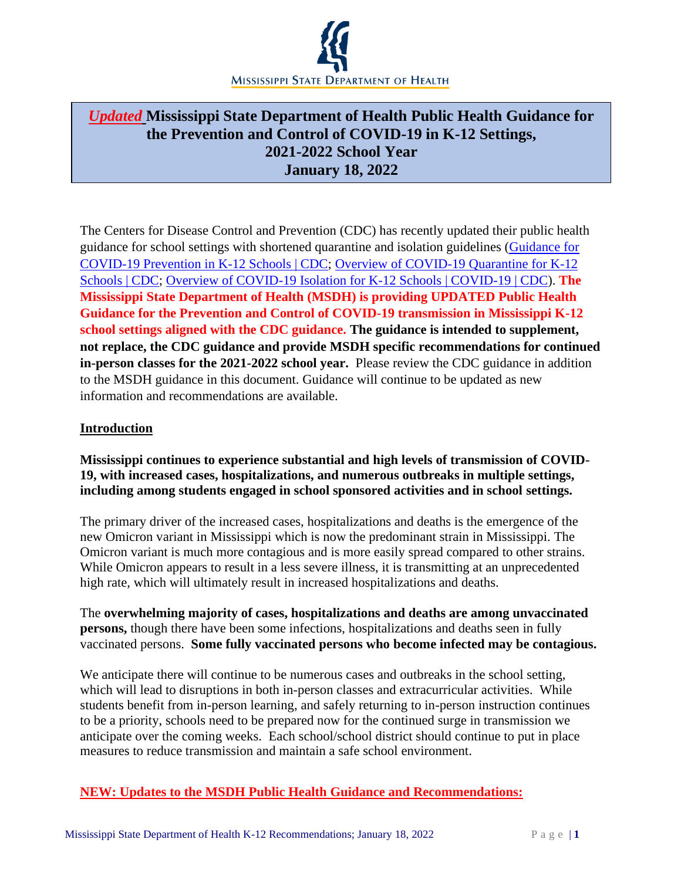

# *Updated* **Mississippi State Department of Health Public Health Guidance for the Prevention and Control of COVID-19 in K-12 Settings, 2021-2022 School Year January 18, 2022**

The Centers for Disease Control and Prevention (CDC) has recently updated their public health guidance for school settings with shortened quarantine and isolation guidelines [\(Guidance for](https://www.cdc.gov/coronavirus/2019-ncov/community/schools-childcare/k-12-guidance.html)  [COVID-19 Prevention in K-12 Schools | CDC;](https://www.cdc.gov/coronavirus/2019-ncov/community/schools-childcare/k-12-guidance.html) [Overview of COVID-19 Quarantine for K-12](https://www.cdc.gov/coronavirus/2019-ncov/community/schools-childcare/k-12-contact-tracing/about-quarantine.html)  [Schools | CDC;](https://www.cdc.gov/coronavirus/2019-ncov/community/schools-childcare/k-12-contact-tracing/about-quarantine.html) [Overview of COVID-19 Isolation for K-12 Schools | COVID-19 | CDC\)](https://www.cdc.gov/coronavirus/2019-ncov/community/schools-childcare/k-12-contact-tracing/about-isolation.html). **The Mississippi State Department of Health (MSDH) is providing UPDATED Public Health Guidance for the Prevention and Control of COVID-19 transmission in Mississippi K-12 school settings aligned with the CDC guidance. The guidance is intended to supplement, not replace, the CDC guidance and provide MSDH specific recommendations for continued in-person classes for the 2021-2022 school year.** Please review the CDC guidance in addition to the MSDH guidance in this document. Guidance will continue to be updated as new information and recommendations are available.

### **Introduction**

**Mississippi continues to experience substantial and high levels of transmission of COVID-19, with increased cases, hospitalizations, and numerous outbreaks in multiple settings, including among students engaged in school sponsored activities and in school settings.** 

The primary driver of the increased cases, hospitalizations and deaths is the emergence of the new Omicron variant in Mississippi which is now the predominant strain in Mississippi. The Omicron variant is much more contagious and is more easily spread compared to other strains. While Omicron appears to result in a less severe illness, it is transmitting at an unprecedented high rate, which will ultimately result in increased hospitalizations and deaths.

The **overwhelming majority of cases, hospitalizations and deaths are among unvaccinated persons,** though there have been some infections, hospitalizations and deaths seen in fully vaccinated persons. **Some fully vaccinated persons who become infected may be contagious.**

We anticipate there will continue to be numerous cases and outbreaks in the school setting, which will lead to disruptions in both in-person classes and extracurricular activities. While students benefit from in-person learning, and safely returning to in-person instruction continues to be a priority, schools need to be prepared now for the continued surge in transmission we anticipate over the coming weeks. Each school/school district should continue to put in place measures to reduce transmission and maintain a safe school environment.

### **NEW: Updates to the MSDH Public Health Guidance and Recommendations:**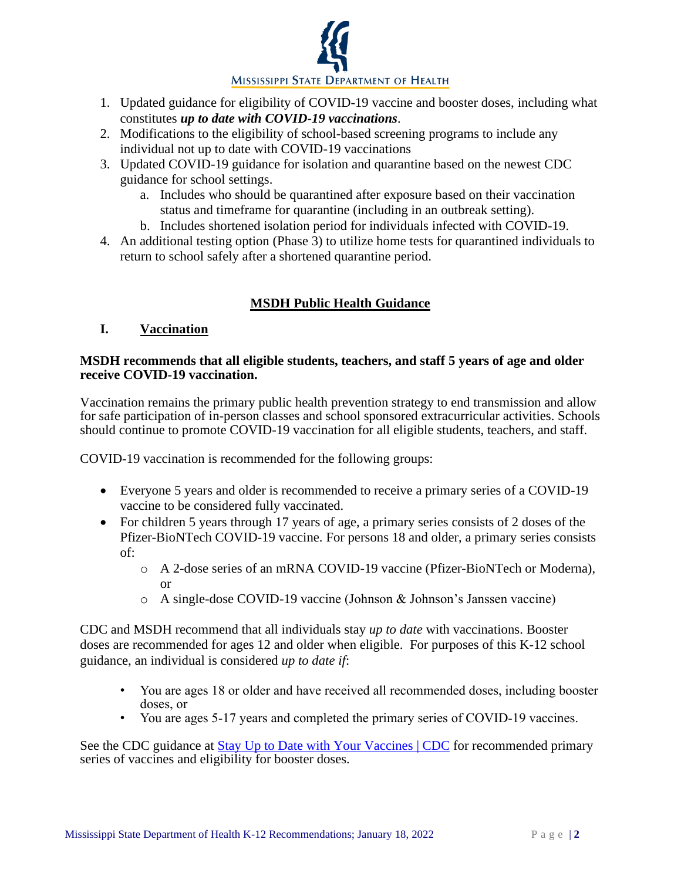

- 1. Updated guidance for eligibility of COVID-19 vaccine and booster doses, including what constitutes *up to date with COVID-19 vaccinations*.
- 2. Modifications to the eligibility of school-based screening programs to include any individual not up to date with COVID-19 vaccinations
- 3. Updated COVID-19 guidance for isolation and quarantine based on the newest CDC guidance for school settings.
	- a. Includes who should be quarantined after exposure based on their vaccination status and timeframe for quarantine (including in an outbreak setting).
	- b. Includes shortened isolation period for individuals infected with COVID-19.
- 4. An additional testing option (Phase 3) to utilize home tests for quarantined individuals to return to school safely after a shortened quarantine period.

## **MSDH Public Health Guidance**

### **I. Vaccination**

### **MSDH recommends that all eligible students, teachers, and staff 5 years of age and older receive COVID-19 vaccination.**

Vaccination remains the primary public health prevention strategy to end transmission and allow for safe participation of in-person classes and school sponsored extracurricular activities. Schools should continue to promote COVID-19 vaccination for all eligible students, teachers, and staff.

COVID-19 vaccination is recommended for the following groups:

- Everyone 5 years and older is recommended to receive a primary series of a COVID-19 vaccine to be considered fully vaccinated.
- For children 5 years through 17 years of age, a primary series consists of 2 doses of the Pfizer-BioNTech COVID-19 vaccine. For persons 18 and older, a primary series consists of:
	- o A 2-dose series of an mRNA COVID-19 vaccine (Pfizer-BioNTech or Moderna), or
	- o A single-dose COVID-19 vaccine (Johnson & Johnson's Janssen vaccine)

CDC and MSDH recommend that all individuals stay *up to date* with vaccinations. Booster doses are recommended for ages 12 and older when eligible. For purposes of this K-12 school guidance, an individual is considered *up to date if*:

- You are ages 18 or older and have received all recommended doses, including booster doses, or
- You are ages 5-17 years and completed the primary series of COVID-19 vaccines.

See the CDC guidance at [Stay Up to Date with Your Vaccines | CDC](https://www.cdc.gov/coronavirus/2019-ncov/vaccines/stay-up-to-date.html) for recommended primary series of vaccines and eligibility for booster doses.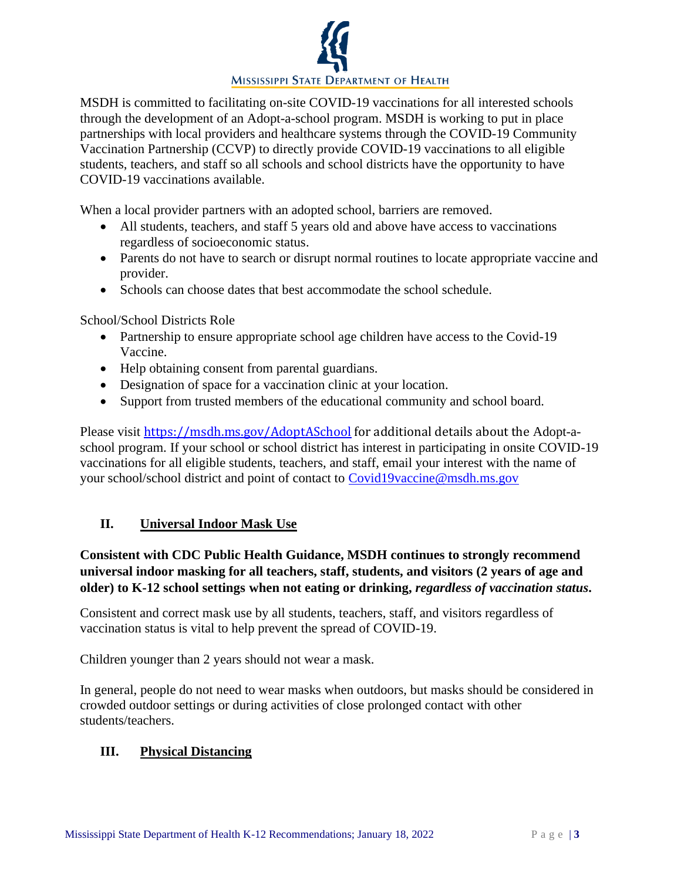

MSDH is committed to facilitating on-site COVID-19 vaccinations for all interested schools through the development of an Adopt-a-school program. MSDH is working to put in place partnerships with local providers and healthcare systems through the COVID-19 Community Vaccination Partnership (CCVP) to directly provide COVID-19 vaccinations to all eligible students, teachers, and staff so all schools and school districts have the opportunity to have COVID-19 vaccinations available.

When a local provider partners with an adopted school, barriers are removed.

- All students, teachers, and staff 5 years old and above have access to vaccinations regardless of socioeconomic status.
- Parents do not have to search or disrupt normal routines to locate appropriate vaccine and provider.
- Schools can choose dates that best accommodate the school schedule.

School/School Districts Role

- Partnership to ensure appropriate school age children have access to the Covid-19 Vaccine.
- Help obtaining consent from parental guardians.
- Designation of space for a vaccination clinic at your location.
- Support from trusted members of the educational community and school board.

Please visit [https://msdh.ms.gov/AdoptASchool](https://gcc02.safelinks.protection.outlook.com/?url=https%3A%2F%2Fmsdh.ms.gov%2FAdoptASchool&data=04%7C01%7CPaul.Byers%40msdh.ms.gov%7Ca1005fcc5b404797a7a008d947cee889%7C559042dc8bf04d869fc0fbf4c7503c79%7C0%7C0%7C637619776254684313%7CUnknown%7CTWFpbGZsb3d8eyJWIjoiMC4wLjAwMDAiLCJQIjoiV2luMzIiLCJBTiI6Ik1haWwiLCJXVCI6Mn0%3D%7C1000&sdata=GCjweAfQtEJq1vn%2B%2Bkjevqk7fqM9Lco1b87KedLXcH8%3D&reserved=0) for additional details about the Adopt-aschool program. If your school or school district has interest in participating in onsite COVID-19 vaccinations for all eligible students, teachers, and staff, email your interest with the name of your school/school district and point of contact to [Covid19vaccine@msdh.ms.gov](mailto:Covid19vaccine@msdh.ms.gov)

### **II. Universal Indoor Mask Use**

## **Consistent with CDC Public Health Guidance, MSDH continues to strongly recommend universal indoor masking for all teachers, staff, students, and visitors (2 years of age and older) to K-12 school settings when not eating or drinking,** *regardless of vaccination status***.**

Consistent and correct mask use by all students, teachers, staff, and visitors regardless of vaccination status is vital to help prevent the spread of COVID-19.

Children younger than 2 years should not wear a mask.

In general, people do not need to wear masks when outdoors, but masks should be considered in crowded outdoor settings or during activities of close prolonged contact with other students/teachers.

### **III. Physical Distancing**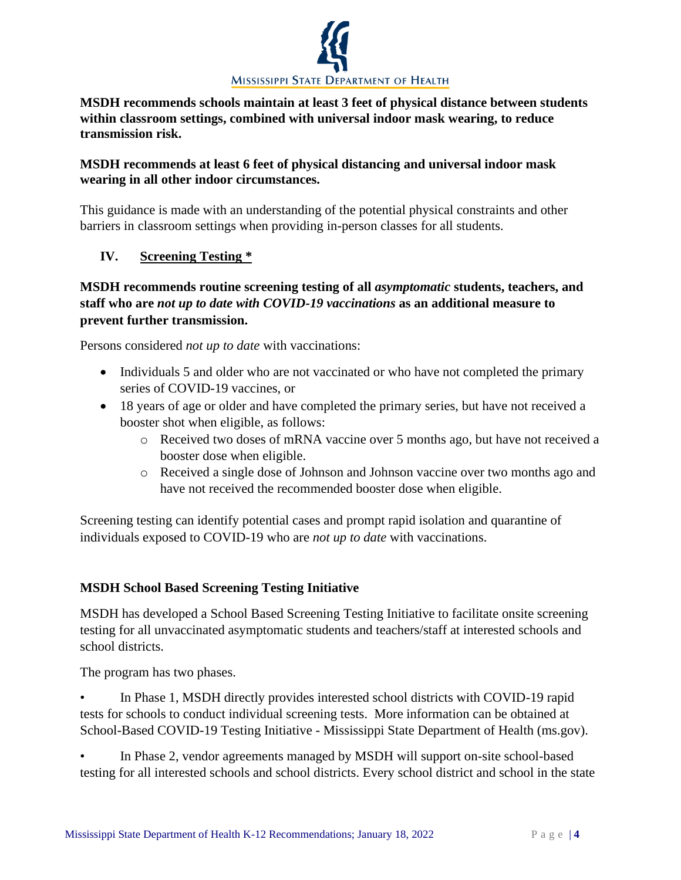

**MSDH recommends schools maintain at least 3 feet of physical distance between students within classroom settings, combined with universal indoor mask wearing, to reduce transmission risk.** 

## **MSDH recommends at least 6 feet of physical distancing and universal indoor mask wearing in all other indoor circumstances.**

This guidance is made with an understanding of the potential physical constraints and other barriers in classroom settings when providing in-person classes for all students.

## **IV. Screening Testing \***

## **MSDH recommends routine screening testing of all** *asymptomatic* **students, teachers, and staff who are** *not up to date with COVID-19 vaccinations* **as an additional measure to prevent further transmission.**

Persons considered *not up to date* with vaccinations:

- Individuals 5 and older who are not vaccinated or who have not completed the primary series of COVID-19 vaccines, or
- 18 years of age or older and have completed the primary series, but have not received a booster shot when eligible, as follows:
	- o Received two doses of mRNA vaccine over 5 months ago, but have not received a booster dose when eligible.
	- o Received a single dose of Johnson and Johnson vaccine over two months ago and have not received the recommended booster dose when eligible.

Screening testing can identify potential cases and prompt rapid isolation and quarantine of individuals exposed to COVID-19 who are *not up to date* with vaccinations.

### **MSDH School Based Screening Testing Initiative**

MSDH has developed a School Based Screening Testing Initiative to facilitate onsite screening testing for all unvaccinated asymptomatic students and teachers/staff at interested schools and school districts.

The program has two phases.

- In Phase 1, MSDH directly provides interested school districts with COVID-19 rapid tests for schools to conduct individual screening tests. More information can be obtained at School-Based COVID-19 Testing Initiative - Mississippi State Department of Health (ms.gov).
- In Phase 2, vendor agreements managed by MSDH will support on-site school-based testing for all interested schools and school districts. Every school district and school in the state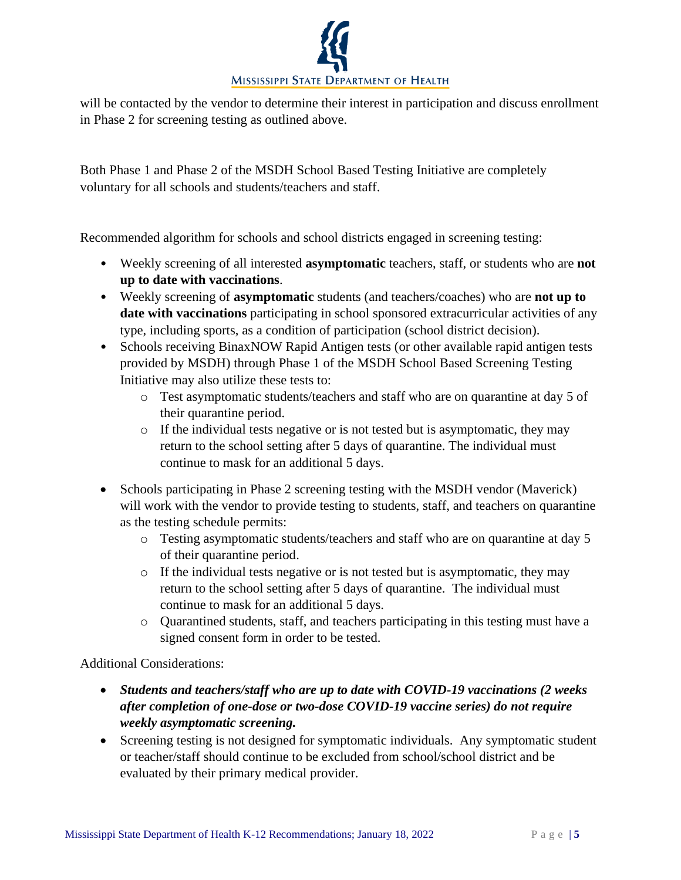

will be contacted by the vendor to determine their interest in participation and discuss enrollment in Phase 2 for screening testing as outlined above.

Both Phase 1 and Phase 2 of the MSDH School Based Testing Initiative are completely voluntary for all schools and students/teachers and staff.

Recommended algorithm for schools and school districts engaged in screening testing:

- Weekly screening of all interested **asymptomatic** teachers, staff, or students who are **not up to date with vaccinations**.
- Weekly screening of **asymptomatic** students (and teachers/coaches) who are **not up to date with vaccinations** participating in school sponsored extracurricular activities of any type, including sports, as a condition of participation (school district decision).
- Schools receiving BinaxNOW Rapid Antigen tests (or other available rapid antigen tests provided by MSDH) through Phase 1 of the MSDH School Based Screening Testing Initiative may also utilize these tests to:
	- o Test asymptomatic students/teachers and staff who are on quarantine at day 5 of their quarantine period.
	- o If the individual tests negative or is not tested but is asymptomatic, they may return to the school setting after 5 days of quarantine. The individual must continue to mask for an additional 5 days.
- Schools participating in Phase 2 screening testing with the MSDH vendor (Maverick) will work with the vendor to provide testing to students, staff, and teachers on quarantine as the testing schedule permits:
	- o Testing asymptomatic students/teachers and staff who are on quarantine at day 5 of their quarantine period.
	- o If the individual tests negative or is not tested but is asymptomatic, they may return to the school setting after 5 days of quarantine. The individual must continue to mask for an additional 5 days.
	- o Quarantined students, staff, and teachers participating in this testing must have a signed consent form in order to be tested.

Additional Considerations:

- *Students and teachers/staff who are up to date with COVID-19 vaccinations (2 weeks after completion of one-dose or two-dose COVID-19 vaccine series) do not require weekly asymptomatic screening.*
- Screening testing is not designed for symptomatic individuals. Any symptomatic student or teacher/staff should continue to be excluded from school/school district and be evaluated by their primary medical provider.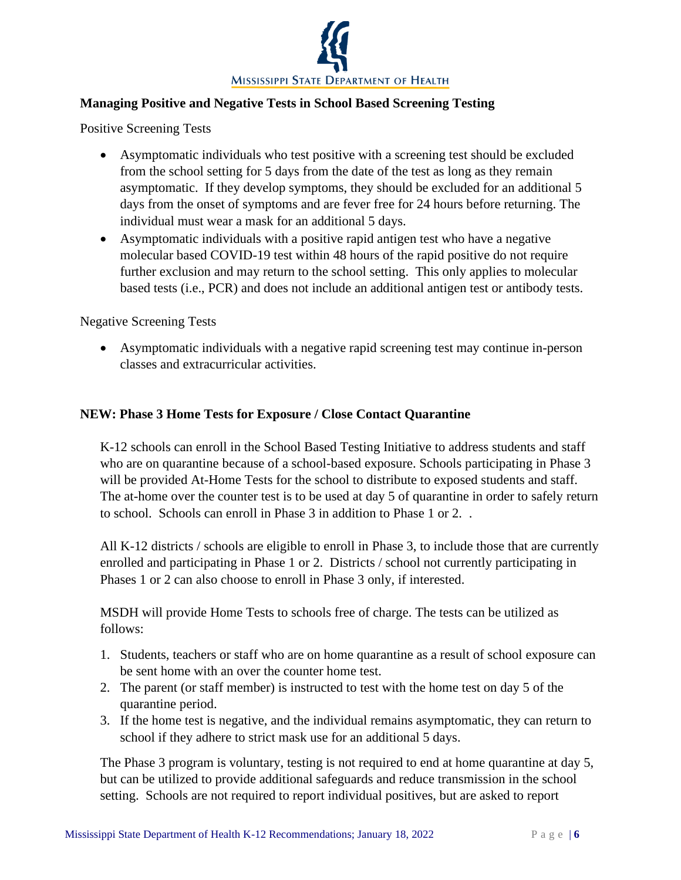

## **Managing Positive and Negative Tests in School Based Screening Testing**

Positive Screening Tests

- Asymptomatic individuals who test positive with a screening test should be excluded from the school setting for 5 days from the date of the test as long as they remain asymptomatic. If they develop symptoms, they should be excluded for an additional 5 days from the onset of symptoms and are fever free for 24 hours before returning. The individual must wear a mask for an additional 5 days.
- Asymptomatic individuals with a positive rapid antigen test who have a negative molecular based COVID-19 test within 48 hours of the rapid positive do not require further exclusion and may return to the school setting. This only applies to molecular based tests (i.e., PCR) and does not include an additional antigen test or antibody tests.

Negative Screening Tests

• Asymptomatic individuals with a negative rapid screening test may continue in-person classes and extracurricular activities.

#### **NEW: Phase 3 Home Tests for Exposure / Close Contact Quarantine**

K-12 schools can enroll in the School Based Testing Initiative to address students and staff who are on quarantine because of a school-based exposure. Schools participating in Phase 3 will be provided At-Home Tests for the school to distribute to exposed students and staff. The at-home over the counter test is to be used at day 5 of quarantine in order to safely return to school. Schools can enroll in Phase 3 in addition to Phase 1 or 2. .

All K-12 districts / schools are eligible to enroll in Phase 3, to include those that are currently enrolled and participating in Phase 1 or 2. Districts / school not currently participating in Phases 1 or 2 can also choose to enroll in Phase 3 only, if interested.

MSDH will provide Home Tests to schools free of charge. The tests can be utilized as follows:

- 1. Students, teachers or staff who are on home quarantine as a result of school exposure can be sent home with an over the counter home test.
- 2. The parent (or staff member) is instructed to test with the home test on day 5 of the quarantine period.
- 3. If the home test is negative, and the individual remains asymptomatic, they can return to school if they adhere to strict mask use for an additional 5 days.

The Phase 3 program is voluntary, testing is not required to end at home quarantine at day 5, but can be utilized to provide additional safeguards and reduce transmission in the school setting. Schools are not required to report individual positives, but are asked to report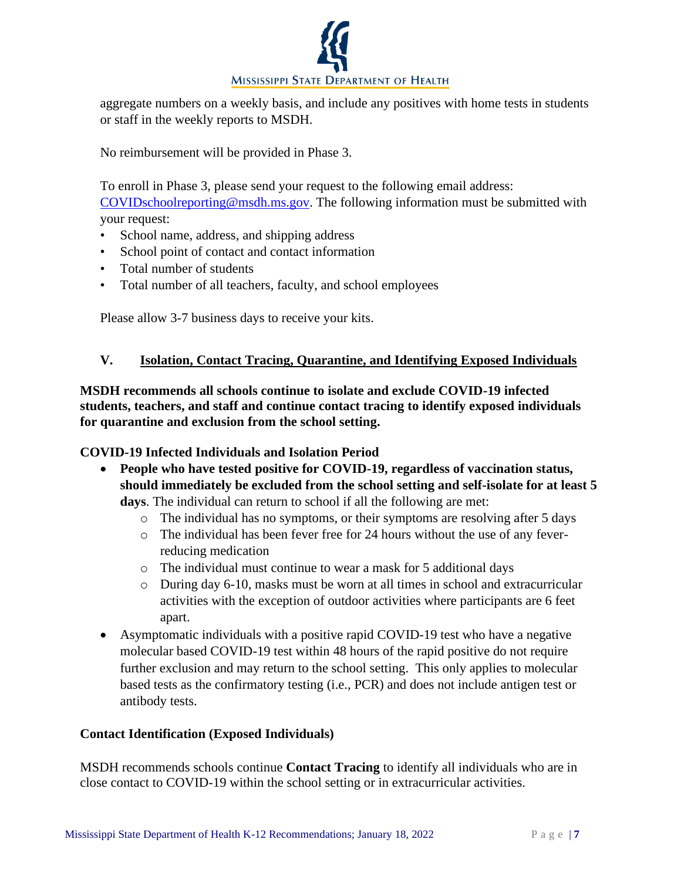

aggregate numbers on a weekly basis, and include any positives with home tests in students or staff in the weekly reports to MSDH.

No reimbursement will be provided in Phase 3.

To enroll in Phase 3, please send your request to the following email address: [COVIDschoolreporting@msdh.ms.gov.](mailto:COVIDschoolreporting@msdh.ms.gov) The following information must be submitted with your request:

- School name, address, and shipping address
- School point of contact and contact information
- Total number of students
- Total number of all teachers, faculty, and school employees

Please allow 3-7 business days to receive your kits.

## **V. Isolation, Contact Tracing, Quarantine, and Identifying Exposed Individuals**

**MSDH recommends all schools continue to isolate and exclude COVID-19 infected students, teachers, and staff and continue contact tracing to identify exposed individuals for quarantine and exclusion from the school setting.**

### **COVID-19 Infected Individuals and Isolation Period**

• **People who have tested positive for COVID-19, regardless of vaccination status, should immediately be excluded from the school setting and self-isolate for at least 5 days**. The individual can return to school if all the following are met:

- o The individual has no symptoms, or their symptoms are resolving after 5 days
- o The individual has been fever free for 24 hours without the use of any feverreducing medication
- o The individual must continue to wear a mask for 5 additional days
- o During day 6-10, masks must be worn at all times in school and extracurricular activities with the exception of outdoor activities where participants are 6 feet apart.
- Asymptomatic individuals with a positive rapid COVID-19 test who have a negative molecular based COVID-19 test within 48 hours of the rapid positive do not require further exclusion and may return to the school setting. This only applies to molecular based tests as the confirmatory testing (i.e., PCR) and does not include antigen test or antibody tests.

### **Contact Identification (Exposed Individuals)**

MSDH recommends schools continue **Contact Tracing** to identify all individuals who are in close contact to COVID-19 within the school setting or in extracurricular activities.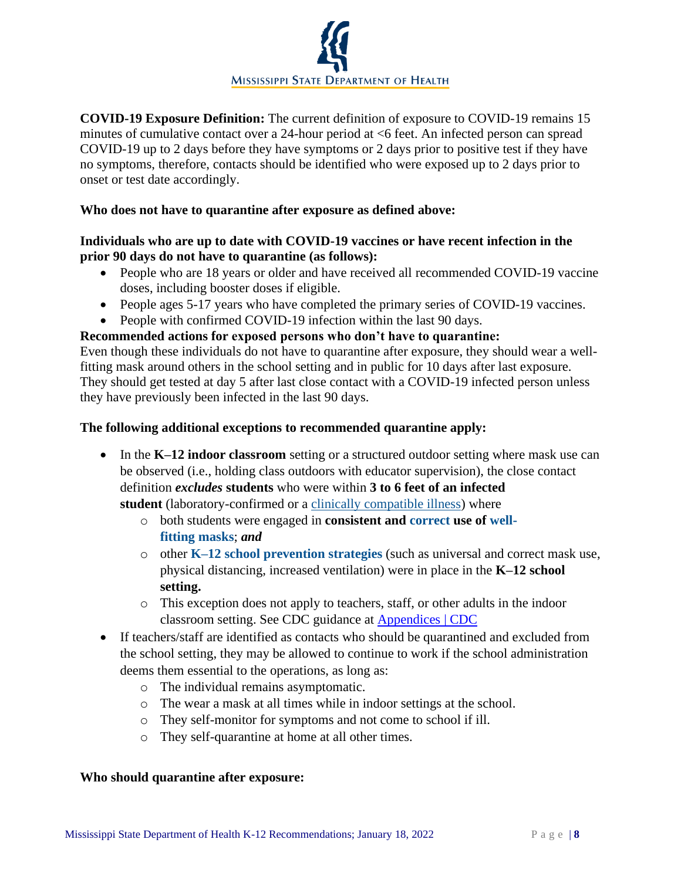

**COVID-19 Exposure Definition:** The current definition of exposure to COVID-19 remains 15 minutes of cumulative contact over a 24-hour period at <6 feet. An infected person can spread COVID-19 up to 2 days before they have symptoms or 2 days prior to positive test if they have no symptoms, therefore, contacts should be identified who were exposed up to 2 days prior to onset or test date accordingly.

#### **Who does not have to quarantine after exposure as defined above:**

### **Individuals who are up to date with COVID-19 vaccines or have recent infection in the prior 90 days do not have to quarantine (as follows):**

- People who are 18 years or older and have received all recommended COVID-19 vaccine doses, including booster doses if eligible.
- People ages 5-17 years who have completed the primary series of COVID-19 vaccines.
- People with confirmed COVID-19 infection within the last 90 days.

### **Recommended actions for exposed persons who don't have to quarantine:**

Even though these individuals do not have to quarantine after exposure, they should wear a wellfitting mask around others in the school setting and in public for 10 days after last exposure. They should get tested at day 5 after last close contact with a COVID-19 infected person unless they have previously been infected in the last 90 days.

### **The following additional exceptions to recommended quarantine apply:**

- In the **K–12 indoor classroom** setting or a structured outdoor setting where mask use can be observed (i.e., holding class outdoors with educator supervision), the close contact definition *excludes* **students** who were within **3 to 6 feet of an infected student** (laboratory-confirmed or a [clinically compatible illness\)](https://www.cdc.gov/coronavirus/2019-ncov/hcp/clinical-guidance-management-patients.html) where
	- o both students were engaged in **consistent and [correct](https://www.cdc.gov/coronavirus/2019-ncov/your-health/effective-masks.html) use of [well](https://www.cdc.gov/coronavirus/2019-ncov/prevent-getting-sick/mask-fit-and-filtration.html)[fitting](https://www.cdc.gov/coronavirus/2019-ncov/prevent-getting-sick/mask-fit-and-filtration.html) [masks](https://www.cdc.gov/coronavirus/2019-ncov/community/schools-childcare/cloth-face-cover.html)**; *and*
	- o other **[K–12 school prevention strategies](https://www.cdc.gov/coronavirus/2019-ncov/community/schools-childcare/k-12-guidance.html)** (such as universal and correct mask use, physical distancing, increased ventilation) were in place in the **K–12 school setting.**
	- o This exception does not apply to teachers, staff, or other adults in the indoor classroom setting. See CDC guidance at [Appendices | CDC](https://www.cdc.gov/coronavirus/2019-ncov/php/contact-tracing/contact-tracing-plan/appendix.html#contact)
- If teachers/staff are identified as contacts who should be quarantined and excluded from the school setting, they may be allowed to continue to work if the school administration deems them essential to the operations, as long as:
	- o The individual remains asymptomatic.
	- o The wear a mask at all times while in indoor settings at the school.
	- o They self-monitor for symptoms and not come to school if ill.
	- o They self-quarantine at home at all other times.

#### **Who should quarantine after exposure:**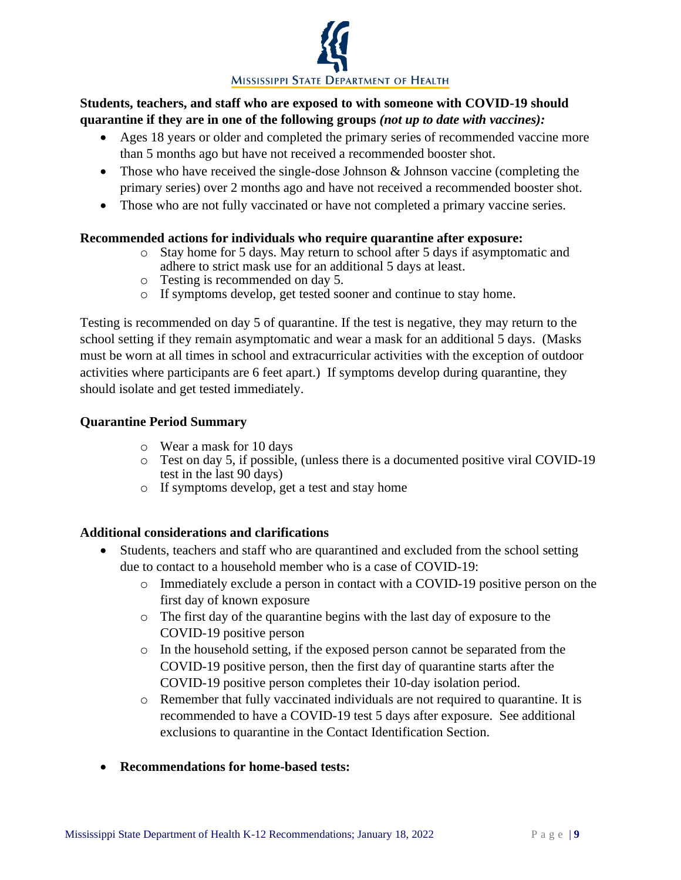

## **Students, teachers, and staff who are exposed to with someone with COVID-19 should quarantine if they are in one of the following groups** *(not up to date with vaccines):*

- Ages 18 years or older and completed the primary series of recommended vaccine more than 5 months ago but have not received a recommended booster shot.
- Those who have received the single-dose Johnson & Johnson vaccine (completing the primary series) over 2 months ago and have not received a recommended booster shot.
- Those who are not fully vaccinated or have not completed a primary vaccine series.

### **Recommended actions for individuals who require quarantine after exposure:**

- o Stay home for 5 days. May return to school after 5 days if asymptomatic and adhere to strict mask use for an additional 5 days at least.
- o Testing is recommended on day 5.
- o If symptoms develop, get tested sooner and continue to stay home.

Testing is recommended on day 5 of quarantine. If the test is negative, they may return to the school setting if they remain asymptomatic and wear a mask for an additional 5 days. (Masks must be worn at all times in school and extracurricular activities with the exception of outdoor activities where participants are 6 feet apart.) If symptoms develop during quarantine, they should isolate and get tested immediately.

### **Quarantine Period Summary**

- o Wear a mask for 10 days
- o Test on day 5, if possible, (unless there is a documented positive viral COVID-19 test in the last 90 days)
- o If symptoms develop, get a test and stay home

### **Additional considerations and clarifications**

- Students, teachers and staff who are quarantined and excluded from the school setting due to contact to a household member who is a case of COVID-19:
	- o Immediately exclude a person in contact with a COVID-19 positive person on the first day of known exposure
	- o The first day of the quarantine begins with the last day of exposure to the COVID-19 positive person
	- $\circ$  In the household setting, if the exposed person cannot be separated from the COVID-19 positive person, then the first day of quarantine starts after the COVID-19 positive person completes their 10-day isolation period.
	- o Remember that fully vaccinated individuals are not required to quarantine. It is recommended to have a COVID-19 test 5 days after exposure. See additional exclusions to quarantine in the Contact Identification Section.
- **Recommendations for home-based tests:**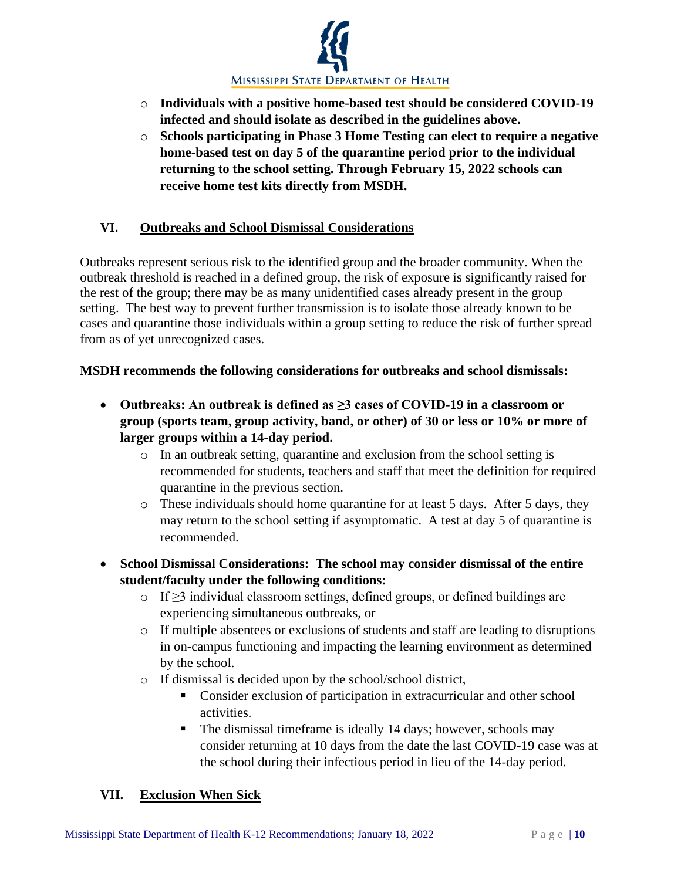

- o **Individuals with a positive home-based test should be considered COVID-19 infected and should isolate as described in the guidelines above.**
- o **Schools participating in Phase 3 Home Testing can elect to require a negative home-based test on day 5 of the quarantine period prior to the individual returning to the school setting. Through February 15, 2022 schools can receive home test kits directly from MSDH.**

## **VI. Outbreaks and School Dismissal Considerations**

Outbreaks represent serious risk to the identified group and the broader community. When the outbreak threshold is reached in a defined group, the risk of exposure is significantly raised for the rest of the group; there may be as many unidentified cases already present in the group setting. The best way to prevent further transmission is to isolate those already known to be cases and quarantine those individuals within a group setting to reduce the risk of further spread from as of yet unrecognized cases.

## **MSDH recommends the following considerations for outbreaks and school dismissals:**

- **Outbreaks: An outbreak is defined as ≥3 cases of COVID-19 in a classroom or group (sports team, group activity, band, or other) of 30 or less or 10% or more of larger groups within a 14-day period.**
	- o In an outbreak setting, quarantine and exclusion from the school setting is recommended for students, teachers and staff that meet the definition for required quarantine in the previous section.
	- o These individuals should home quarantine for at least 5 days. After 5 days, they may return to the school setting if asymptomatic. A test at day 5 of quarantine is recommended.
- **School Dismissal Considerations: The school may consider dismissal of the entire student/faculty under the following conditions:**
	- o If ≥3 individual classroom settings, defined groups, or defined buildings are experiencing simultaneous outbreaks, or
	- o If multiple absentees or exclusions of students and staff are leading to disruptions in on-campus functioning and impacting the learning environment as determined by the school.
	- o If dismissal is decided upon by the school/school district,
		- Consider exclusion of participation in extracurricular and other school activities.
		- The dismissal timeframe is ideally 14 days; however, schools may consider returning at 10 days from the date the last COVID-19 case was at the school during their infectious period in lieu of the 14-day period.

## **VII. Exclusion When Sick**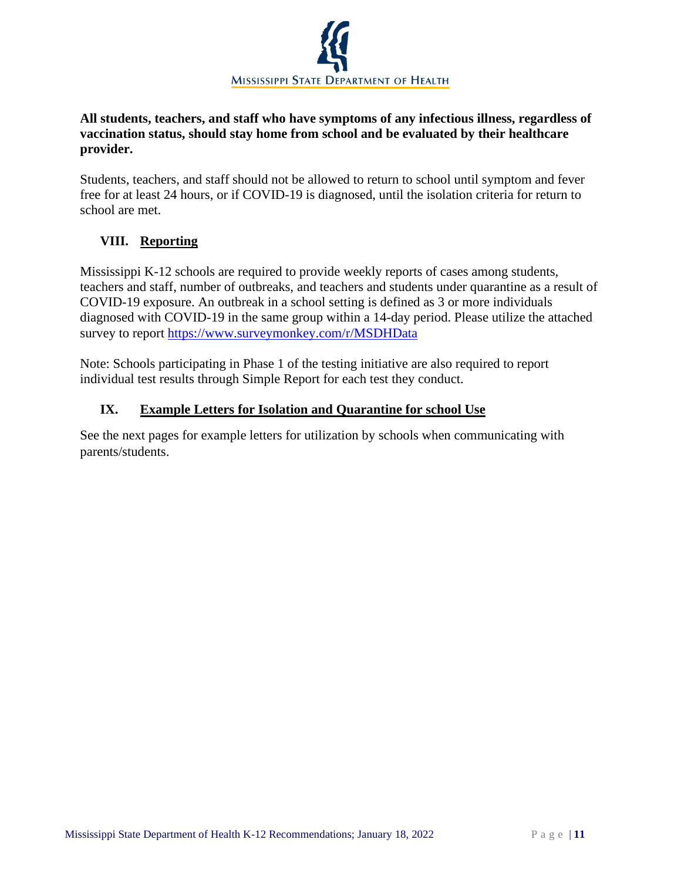

## **All students, teachers, and staff who have symptoms of any infectious illness, regardless of vaccination status, should stay home from school and be evaluated by their healthcare provider.**

Students, teachers, and staff should not be allowed to return to school until symptom and fever free for at least 24 hours, or if COVID-19 is diagnosed, until the isolation criteria for return to school are met.

# **VIII. Reporting**

Mississippi K-12 schools are required to provide weekly reports of cases among students, teachers and staff, number of outbreaks, and teachers and students under quarantine as a result of COVID-19 exposure. An outbreak in a school setting is defined as 3 or more individuals diagnosed with COVID-19 in the same group within a 14-day period. Please utilize the attached survey to report<https://www.surveymonkey.com/r/MSDHData>

Note: Schools participating in Phase 1 of the testing initiative are also required to report individual test results through Simple Report for each test they conduct.

## **IX. Example Letters for Isolation and Quarantine for school Use**

See the next pages for example letters for utilization by schools when communicating with parents/students.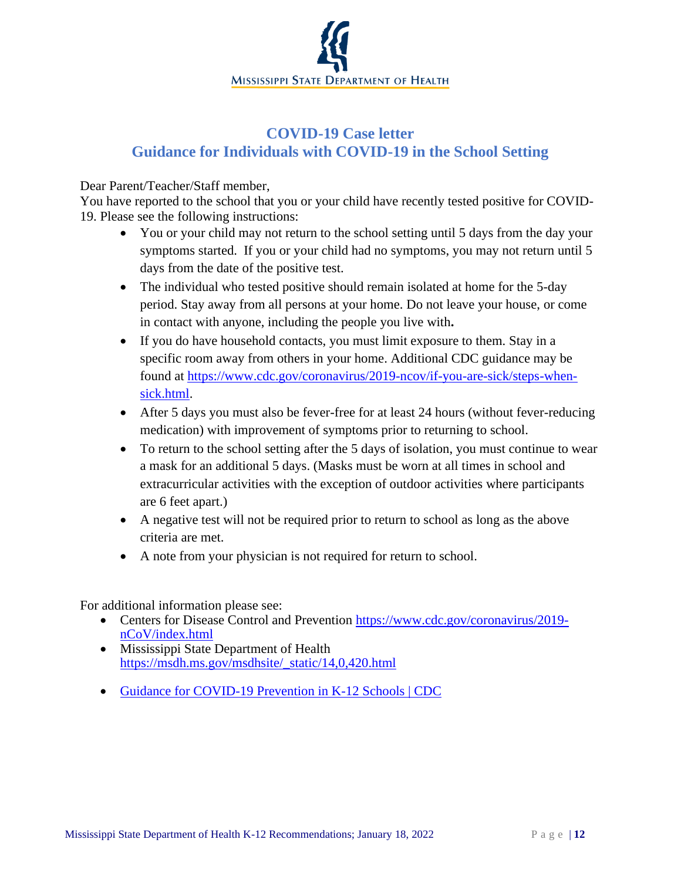

# **COVID-19 Case letter Guidance for Individuals with COVID-19 in the School Setting**

#### Dear Parent/Teacher/Staff member,

You have reported to the school that you or your child have recently tested positive for COVID-19. Please see the following instructions:

- You or your child may not return to the school setting until 5 days from the day your symptoms started. If you or your child had no symptoms, you may not return until 5 days from the date of the positive test.
- The individual who tested positive should remain isolated at home for the 5-day period. Stay away from all persons at your home. Do not leave your house, or come in contact with anyone, including the people you live with**.**
- If you do have household contacts, you must limit exposure to them. Stay in a specific room away from others in your home. Additional CDC guidance may be found at [https://www.cdc.gov/coronavirus/2019-ncov/if-you-are-sick/steps-when](https://www.cdc.gov/coronavirus/2019-ncov/if-you-are-sick/steps-when-sick.html)[sick.html.](https://www.cdc.gov/coronavirus/2019-ncov/if-you-are-sick/steps-when-sick.html)
- After 5 days you must also be fever-free for at least 24 hours (without fever-reducing medication) with improvement of symptoms prior to returning to school.
- To return to the school setting after the 5 days of isolation, you must continue to wear a mask for an additional 5 days. (Masks must be worn at all times in school and extracurricular activities with the exception of outdoor activities where participants are 6 feet apart.)
- A negative test will not be required prior to return to school as long as the above criteria are met.
- A note from your physician is not required for return to school.

For additional information please see:

- Centers for Disease Control and Prevention [https://www.cdc.gov/coronavirus/2019](https://www.cdc.gov/coronavirus/2019-nCoV/index.html) [nCoV/index.html](https://www.cdc.gov/coronavirus/2019-nCoV/index.html)
- Mississippi State Department of Health [https://msdh.ms.gov/msdhsite/\\_static/14,0,420.html](https://msdh.ms.gov/msdhsite/_static/14,0,420.html)
- [Guidance for COVID-19 Prevention in K-12 Schools | CDC](https://www.cdc.gov/coronavirus/2019-ncov/community/schools-childcare/k-12-guidance.html)